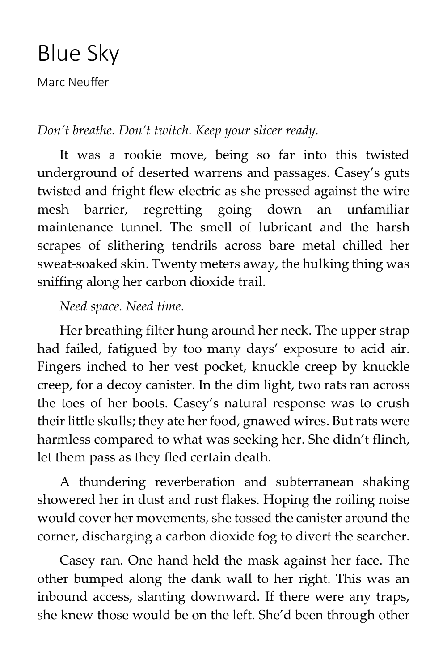## Blue Sky

Marc Neuffer

## *Don't breathe. Don't twitch. Keep your slicer ready.*

It was a rookie move, being so far into this twisted underground of deserted warrens and passages. Casey's guts twisted and fright flew electric as she pressed against the wire mesh barrier, regretting going down an unfamiliar maintenance tunnel. The smell of lubricant and the harsh scrapes of slithering tendrils across bare metal chilled her sweat-soaked skin. Twenty meters away, the hulking thing was sniffing along her carbon dioxide trail.

## *Need space. Need time*.

Her breathing filter hung around her neck. The upper strap had failed, fatigued by too many days' exposure to acid air. Fingers inched to her vest pocket, knuckle creep by knuckle creep, for a decoy canister. In the dim light, two rats ran across the toes of her boots. Casey's natural response was to crush their little skulls; they ate her food, gnawed wires. But rats were harmless compared to what was seeking her. She didn't flinch, let them pass as they fled certain death.

A thundering reverberation and subterranean shaking showered her in dust and rust flakes. Hoping the roiling noise would cover her movements, she tossed the canister around the corner, discharging a carbon dioxide fog to divert the searcher.

Casey ran. One hand held the mask against her face. The other bumped along the dank wall to her right. This was an inbound access, slanting downward. If there were any traps, she knew those would be on the left. She'd been through other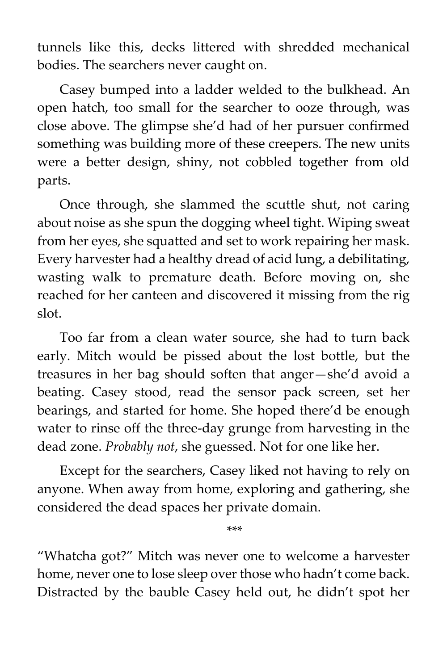tunnels like this, decks littered with shredded mechanical bodies. The searchers never caught on.

Casey bumped into a ladder welded to the bulkhead. An open hatch, too small for the searcher to ooze through, was close above. The glimpse she'd had of her pursuer confirmed something was building more of these creepers. The new units were a better design, shiny, not cobbled together from old parts.

Once through, she slammed the scuttle shut, not caring about noise as she spun the dogging wheel tight. Wiping sweat from her eyes, she squatted and set to work repairing her mask. Every harvester had a healthy dread of acid lung, a debilitating, wasting walk to premature death. Before moving on, she reached for her canteen and discovered it missing from the rig slot.

Too far from a clean water source, she had to turn back early. Mitch would be pissed about the lost bottle, but the treasures in her bag should soften that anger—she'd avoid a beating. Casey stood, read the sensor pack screen, set her bearings, and started for home. She hoped there'd be enough water to rinse off the three-day grunge from harvesting in the dead zone. *Probably not*, she guessed. Not for one like her.

Except for the searchers, Casey liked not having to rely on anyone. When away from home, exploring and gathering, she considered the dead spaces her private domain.

\*\*\*

"Whatcha got?" Mitch was never one to welcome a harvester home, never one to lose sleep over those who hadn't come back. Distracted by the bauble Casey held out, he didn't spot her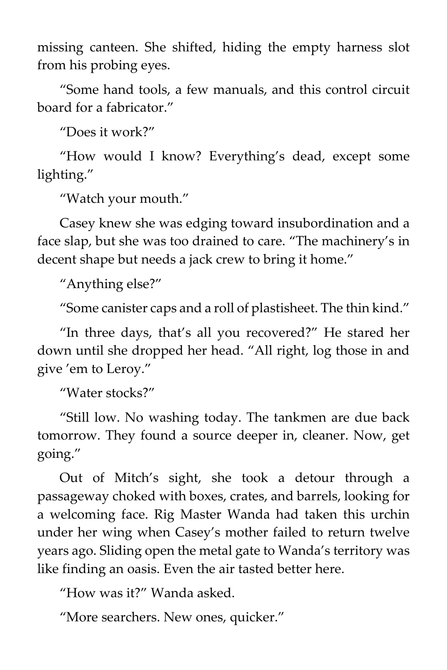missing canteen. She shifted, hiding the empty harness slot from his probing eyes.

"Some hand tools, a few manuals, and this control circuit board for a fabricator."

"Does it work?"

"How would I know? Everything's dead, except some lighting."

"Watch your mouth."

Casey knew she was edging toward insubordination and a face slap, but she was too drained to care. "The machinery's in decent shape but needs a jack crew to bring it home."

"Anything else?"

"Some canister caps and a roll of plastisheet. The thin kind."

"In three days, that's all you recovered?" He stared her down until she dropped her head. "All right, log those in and give 'em to Leroy."

"Water stocks?"

"Still low. No washing today. The tankmen are due back tomorrow. They found a source deeper in, cleaner. Now, get going."

Out of Mitch's sight, she took a detour through a passageway choked with boxes, crates, and barrels, looking for a welcoming face. Rig Master Wanda had taken this urchin under her wing when Casey's mother failed to return twelve years ago. Sliding open the metal gate to Wanda's territory was like finding an oasis. Even the air tasted better here.

"How was it?" Wanda asked.

"More searchers. New ones, quicker."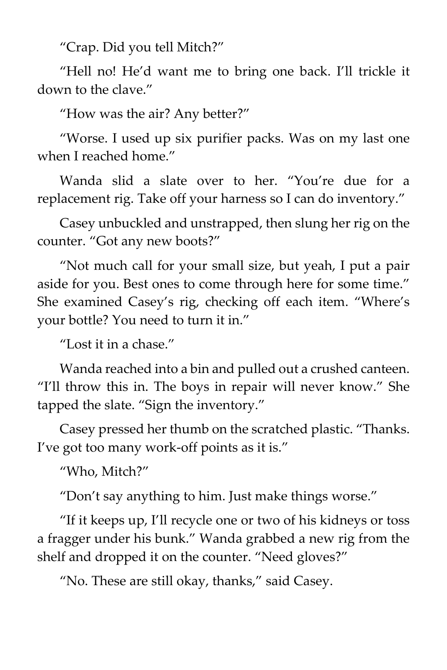"Crap. Did you tell Mitch?"

"Hell no! He'd want me to bring one back. I'll trickle it down to the clave."

"How was the air? Any better?"

"Worse. I used up six purifier packs. Was on my last one when I reached home."

Wanda slid a slate over to her. "You're due for a replacement rig. Take off your harness so I can do inventory."

Casey unbuckled and unstrapped, then slung her rig on the counter. "Got any new boots?"

"Not much call for your small size, but yeah, I put a pair aside for you. Best ones to come through here for some time." She examined Casey's rig, checking off each item. "Where's your bottle? You need to turn it in."

"Lost it in a chase."

Wanda reached into a bin and pulled out a crushed canteen. "I'll throw this in. The boys in repair will never know." She tapped the slate. "Sign the inventory."

Casey pressed her thumb on the scratched plastic. "Thanks. I've got too many work-off points as it is."

"Who, Mitch?"

"Don't say anything to him. Just make things worse."

"If it keeps up, I'll recycle one or two of his kidneys or toss a fragger under his bunk." Wanda grabbed a new rig from the shelf and dropped it on the counter. "Need gloves?"

"No. These are still okay, thanks," said Casey.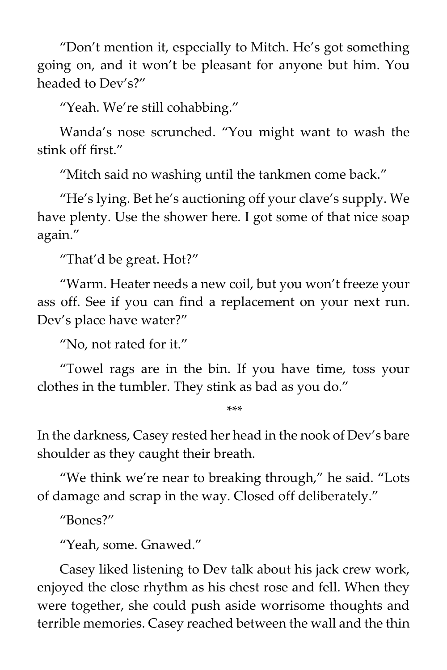"Don't mention it, especially to Mitch. He's got something going on, and it won't be pleasant for anyone but him. You headed to Dev's?"

"Yeah. We're still cohabbing."

Wanda's nose scrunched. "You might want to wash the stink off first."

"Mitch said no washing until the tankmen come back."

"He's lying. Bet he's auctioning off your clave's supply. We have plenty. Use the shower here. I got some of that nice soap again."

"That'd be great. Hot?"

"Warm. Heater needs a new coil, but you won't freeze your ass off. See if you can find a replacement on your next run. Dev's place have water?"

"No, not rated for it."

"Towel rags are in the bin. If you have time, toss your clothes in the tumbler. They stink as bad as you do."

\*\*\*

In the darkness, Casey rested her head in the nook of Dev's bare shoulder as they caught their breath.

"We think we're near to breaking through," he said. "Lots of damage and scrap in the way. Closed off deliberately."

"Bones?"

"Yeah, some. Gnawed."

Casey liked listening to Dev talk about his jack crew work, enjoyed the close rhythm as his chest rose and fell. When they were together, she could push aside worrisome thoughts and terrible memories. Casey reached between the wall and the thin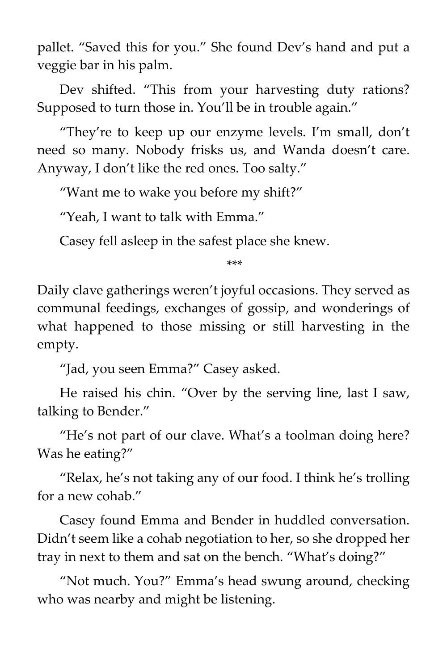pallet. "Saved this for you." She found Dev's hand and put a veggie bar in his palm.

Dev shifted. "This from your harvesting duty rations? Supposed to turn those in. You'll be in trouble again."

"They're to keep up our enzyme levels. I'm small, don't need so many. Nobody frisks us, and Wanda doesn't care. Anyway, I don't like the red ones. Too salty."

"Want me to wake you before my shift?"

"Yeah, I want to talk with Emma."

Casey fell asleep in the safest place she knew.

\*\*\*

Daily clave gatherings weren't joyful occasions. They served as communal feedings, exchanges of gossip, and wonderings of what happened to those missing or still harvesting in the empty.

"Jad, you seen Emma?" Casey asked.

He raised his chin. "Over by the serving line, last I saw, talking to Bender."

"He's not part of our clave. What's a toolman doing here? Was he eating?"

"Relax, he's not taking any of our food. I think he's trolling for a new cohab."

Casey found Emma and Bender in huddled conversation. Didn't seem like a cohab negotiation to her, so she dropped her tray in next to them and sat on the bench. "What's doing?"

"Not much. You?" Emma's head swung around, checking who was nearby and might be listening.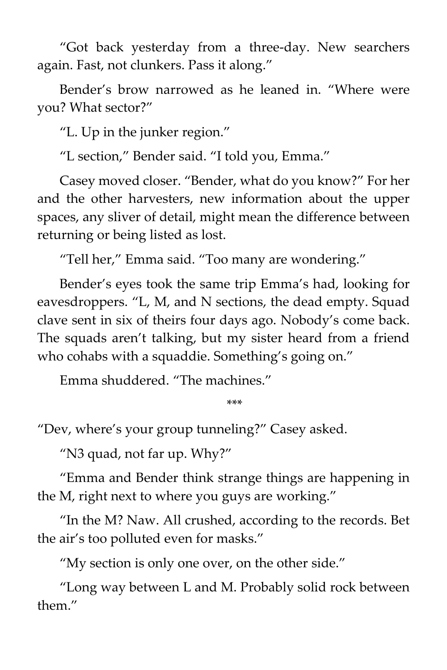"Got back yesterday from a three-day. New searchers again. Fast, not clunkers. Pass it along."

Bender's brow narrowed as he leaned in. "Where were you? What sector?"

"L. Up in the junker region."

"L section," Bender said. "I told you, Emma."

Casey moved closer. "Bender, what do you know?" For her and the other harvesters, new information about the upper spaces, any sliver of detail, might mean the difference between returning or being listed as lost.

"Tell her," Emma said. "Too many are wondering."

Bender's eyes took the same trip Emma's had, looking for eavesdroppers. "L, M, and N sections, the dead empty. Squad clave sent in six of theirs four days ago. Nobody's come back. The squads aren't talking, but my sister heard from a friend who cohabs with a squaddie. Something's going on."

Emma shuddered. "The machines."

\*\*\*

"Dev, where's your group tunneling?" Casey asked.

"N3 quad, not far up. Why?"

"Emma and Bender think strange things are happening in the M, right next to where you guys are working."

"In the M? Naw. All crushed, according to the records. Bet the air's too polluted even for masks."

"My section is only one over, on the other side."

"Long way between L and M. Probably solid rock between them."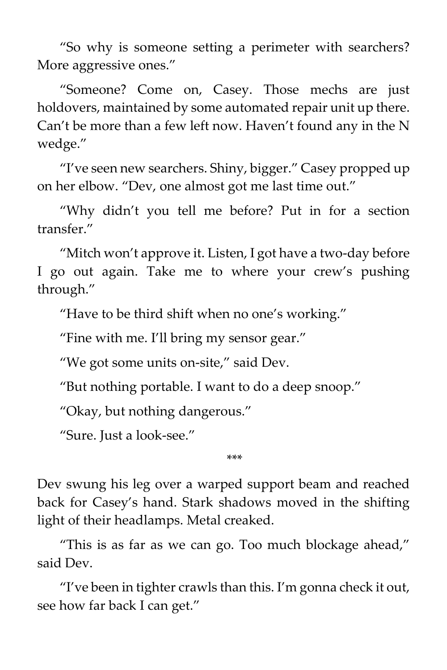"So why is someone setting a perimeter with searchers? More aggressive ones."

"Someone? Come on, Casey. Those mechs are just holdovers, maintained by some automated repair unit up there. Can't be more than a few left now. Haven't found any in the N wedge."

"I've seen new searchers. Shiny, bigger." Casey propped up on her elbow. "Dev, one almost got me last time out."

"Why didn't you tell me before? Put in for a section transfer."

"Mitch won't approve it. Listen, I got have a two-day before I go out again. Take me to where your crew's pushing through."

"Have to be third shift when no one's working."

"Fine with me. I'll bring my sensor gear."

"We got some units on-site," said Dev.

"But nothing portable. I want to do a deep snoop."

"Okay, but nothing dangerous."

"Sure. Just a look-see."

\*\*\*

Dev swung his leg over a warped support beam and reached back for Casey's hand. Stark shadows moved in the shifting light of their headlamps. Metal creaked.

"This is as far as we can go. Too much blockage ahead," said Dev.

"I've been in tighter crawls than this. I'm gonna check it out, see how far back I can get."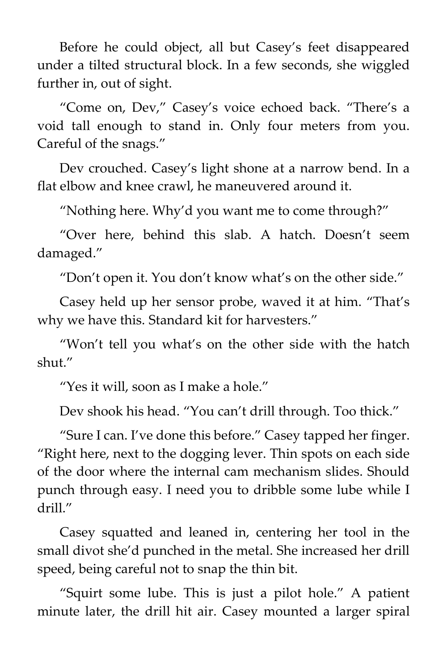Before he could object, all but Casey's feet disappeared under a tilted structural block. In a few seconds, she wiggled further in, out of sight.

"Come on, Dev," Casey's voice echoed back. "There's a void tall enough to stand in. Only four meters from you. Careful of the snags."

Dev crouched. Casey's light shone at a narrow bend. In a flat elbow and knee crawl, he maneuvered around it.

"Nothing here. Why'd you want me to come through?"

"Over here, behind this slab. A hatch. Doesn't seem damaged."

"Don't open it. You don't know what's on the other side."

Casey held up her sensor probe, waved it at him. "That's why we have this. Standard kit for harvesters."

"Won't tell you what's on the other side with the hatch shut."

"Yes it will, soon as I make a hole."

Dev shook his head. "You can't drill through. Too thick."

"Sure I can. I've done this before." Casey tapped her finger. "Right here, next to the dogging lever. Thin spots on each side of the door where the internal cam mechanism slides. Should punch through easy. I need you to dribble some lube while I drill."

Casey squatted and leaned in, centering her tool in the small divot she'd punched in the metal. She increased her drill speed, being careful not to snap the thin bit.

"Squirt some lube. This is just a pilot hole." A patient minute later, the drill hit air. Casey mounted a larger spiral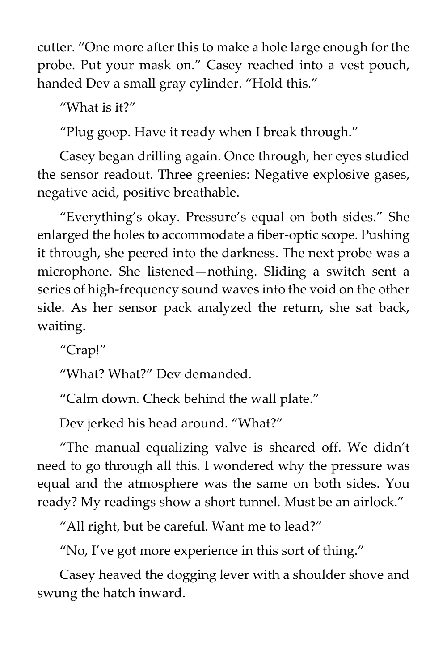cutter. "One more after this to make a hole large enough for the probe. Put your mask on." Casey reached into a vest pouch, handed Dev a small gray cylinder. "Hold this."

"What is it?"

"Plug goop. Have it ready when I break through."

Casey began drilling again. Once through, her eyes studied the sensor readout. Three greenies: Negative explosive gases, negative acid, positive breathable.

"Everything's okay. Pressure's equal on both sides." She enlarged the holes to accommodate a fiber-optic scope. Pushing it through, she peered into the darkness. The next probe was a microphone. She listened—nothing. Sliding a switch sent a series of high-frequency sound waves into the void on the other side. As her sensor pack analyzed the return, she sat back, waiting.

"Crap!"

"What? What?" Dev demanded.

"Calm down. Check behind the wall plate."

Dev jerked his head around. "What?"

"The manual equalizing valve is sheared off. We didn't need to go through all this. I wondered why the pressure was equal and the atmosphere was the same on both sides. You ready? My readings show a short tunnel. Must be an airlock."

"All right, but be careful. Want me to lead?"

"No, I've got more experience in this sort of thing."

Casey heaved the dogging lever with a shoulder shove and swung the hatch inward.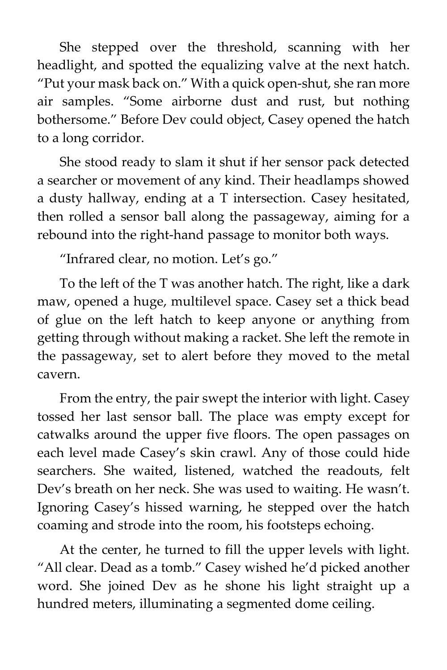She stepped over the threshold, scanning with her headlight, and spotted the equalizing valve at the next hatch. "Put your mask back on." With a quick open-shut, she ran more air samples. "Some airborne dust and rust, but nothing bothersome." Before Dev could object, Casey opened the hatch to a long corridor.

She stood ready to slam it shut if her sensor pack detected a searcher or movement of any kind. Their headlamps showed a dusty hallway, ending at a T intersection. Casey hesitated, then rolled a sensor ball along the passageway, aiming for a rebound into the right-hand passage to monitor both ways.

"Infrared clear, no motion. Let's go."

To the left of the T was another hatch. The right, like a dark maw, opened a huge, multilevel space. Casey set a thick bead of glue on the left hatch to keep anyone or anything from getting through without making a racket. She left the remote in the passageway, set to alert before they moved to the metal cavern.

From the entry, the pair swept the interior with light. Casey tossed her last sensor ball. The place was empty except for catwalks around the upper five floors. The open passages on each level made Casey's skin crawl. Any of those could hide searchers. She waited, listened, watched the readouts, felt Dev's breath on her neck. She was used to waiting. He wasn't. Ignoring Casey's hissed warning, he stepped over the hatch coaming and strode into the room, his footsteps echoing.

At the center, he turned to fill the upper levels with light. "All clear. Dead as a tomb." Casey wished he'd picked another word. She joined Dev as he shone his light straight up a hundred meters, illuminating a segmented dome ceiling.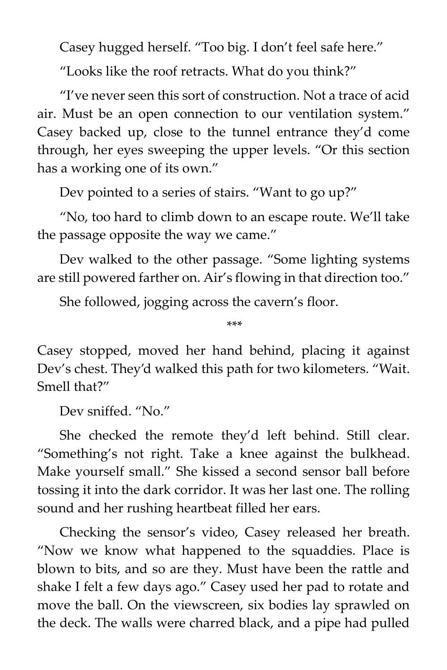Casey hugged herself. "Too big. I don't feel safe here."

"Looks like the roof retracts. What do you think?"

"I've never seen this sort of construction. Not a trace of acid air. Must be an open connection to our ventilation system." Casey backed up, close to the tunnel entrance they'd come through, her eyes sweeping the upper levels. "Or this section has a working one of its own."

Dev pointed to a series of stairs. "Want to go up?"

"No, too hard to climb down to an escape route. We'll take the passage opposite the way we came."

Dev walked to the other passage. "Some lighting systems are still powered farther on. Air's flowing in that direction too."

She followed, jogging across the cavern's floor.

\*\*\*

Casey stopped, moved her hand behind, placing it against Dev's chest. They'd walked this path for two kilometers. "Wait. Smell that?"

Dev sniffed. "No."

She checked the remote they'd left behind. Still clear. "Something's not right. Take a knee against the bulkhead. Make yourself small." She kissed a second sensor ball before tossing it into the dark corridor. It was her last one. The rolling sound and her rushing heartbeat filled her ears.

Checking the sensor's video, Casey released her breath. "Now we know what happened to the squaddies. Place is blown to bits, and so are they. Must have been the rattle and shake I felt a few days ago." Casey used her pad to rotate and move the ball. On the viewscreen, six bodies lay sprawled on the deck. The walls were charred black, and a pipe had pulled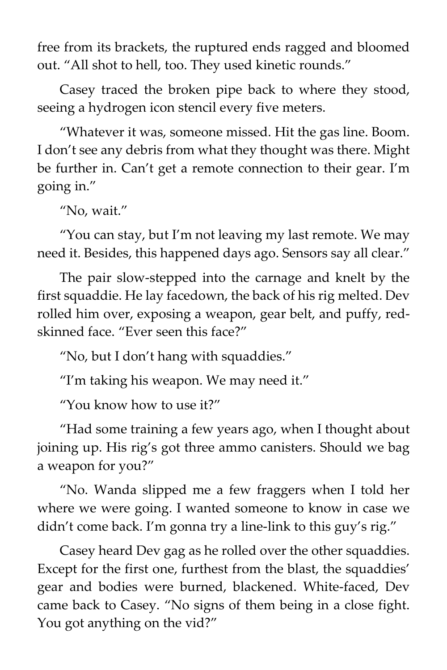free from its brackets, the ruptured ends ragged and bloomed out. "All shot to hell, too. They used kinetic rounds."

Casey traced the broken pipe back to where they stood, seeing a hydrogen icon stencil every five meters.

"Whatever it was, someone missed. Hit the gas line. Boom. I don't see any debris from what they thought was there. Might be further in. Can't get a remote connection to their gear. I'm going in."

"No, wait."

"You can stay, but I'm not leaving my last remote. We may need it. Besides, this happened days ago. Sensors say all clear."

The pair slow-stepped into the carnage and knelt by the first squaddie. He lay facedown, the back of his rig melted. Dev rolled him over, exposing a weapon, gear belt, and puffy, redskinned face. "Ever seen this face?"

"No, but I don't hang with squaddies."

"I'm taking his weapon. We may need it."

"You know how to use it?"

"Had some training a few years ago, when I thought about joining up. His rig's got three ammo canisters. Should we bag a weapon for you?"

"No. Wanda slipped me a few fraggers when I told her where we were going. I wanted someone to know in case we didn't come back. I'm gonna try a line-link to this guy's rig."

Casey heard Dev gag as he rolled over the other squaddies. Except for the first one, furthest from the blast, the squaddies' gear and bodies were burned, blackened. White-faced, Dev came back to Casey. "No signs of them being in a close fight. You got anything on the vid?"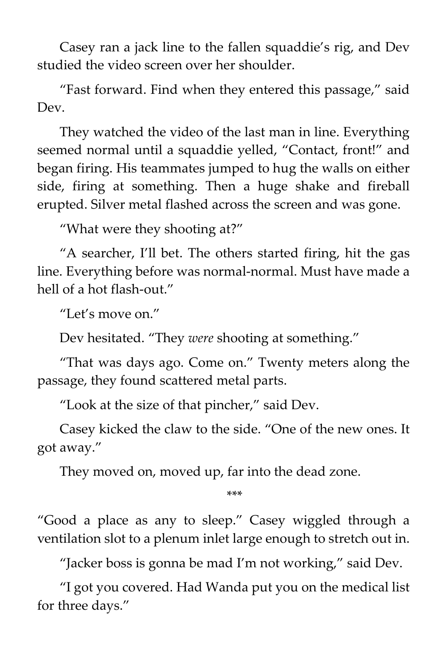Casey ran a jack line to the fallen squaddie's rig, and Dev studied the video screen over her shoulder.

"Fast forward. Find when they entered this passage," said Dev.

They watched the video of the last man in line. Everything seemed normal until a squaddie yelled, "Contact, front!" and began firing. His teammates jumped to hug the walls on either side, firing at something. Then a huge shake and fireball erupted. Silver metal flashed across the screen and was gone.

"What were they shooting at?"

"A searcher, I'll bet. The others started firing, hit the gas line. Everything before was normal-normal. Must have made a hell of a hot flash-out."

"Let's move on."

Dev hesitated. "They *were* shooting at something."

"That was days ago. Come on." Twenty meters along the passage, they found scattered metal parts.

"Look at the size of that pincher," said Dev.

Casey kicked the claw to the side. "One of the new ones. It got away."

They moved on, moved up, far into the dead zone.

\*\*\*

"Good a place as any to sleep." Casey wiggled through a ventilation slot to a plenum inlet large enough to stretch out in.

"Jacker boss is gonna be mad I'm not working," said Dev.

"I got you covered. Had Wanda put you on the medical list for three days."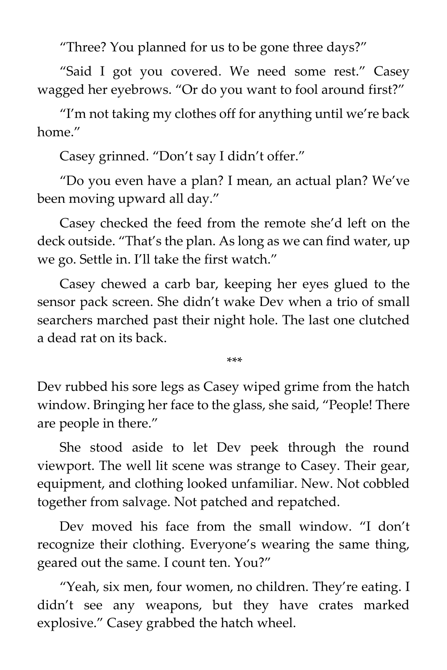"Three? You planned for us to be gone three days?"

"Said I got you covered. We need some rest." Casey wagged her eyebrows. "Or do you want to fool around first?"

"I'm not taking my clothes off for anything until we're back home"

Casey grinned. "Don't say I didn't offer."

"Do you even have a plan? I mean, an actual plan? We've been moving upward all day."

Casey checked the feed from the remote she'd left on the deck outside. "That's the plan. As long as we can find water, up we go. Settle in. I'll take the first watch."

Casey chewed a carb bar, keeping her eyes glued to the sensor pack screen. She didn't wake Dev when a trio of small searchers marched past their night hole. The last one clutched a dead rat on its back.

\*\*\*

Dev rubbed his sore legs as Casey wiped grime from the hatch window. Bringing her face to the glass, she said, "People! There are people in there."

She stood aside to let Dev peek through the round viewport. The well lit scene was strange to Casey. Their gear, equipment, and clothing looked unfamiliar. New. Not cobbled together from salvage. Not patched and repatched.

Dev moved his face from the small window. "I don't recognize their clothing. Everyone's wearing the same thing, geared out the same. I count ten. You?"

"Yeah, six men, four women, no children. They're eating. I didn't see any weapons, but they have crates marked explosive." Casey grabbed the hatch wheel.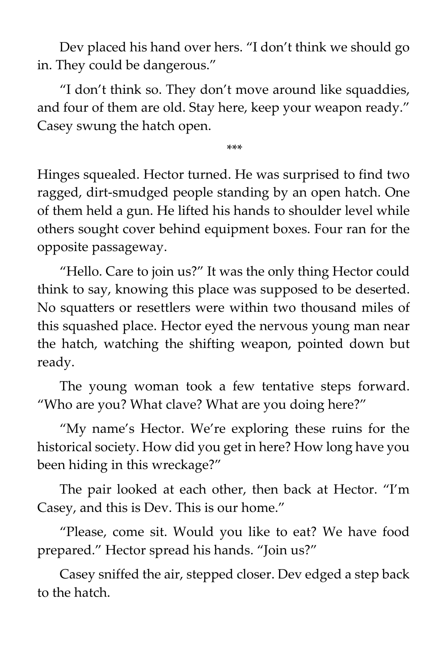Dev placed his hand over hers. "I don't think we should go in. They could be dangerous."

"I don't think so. They don't move around like squaddies, and four of them are old. Stay here, keep your weapon ready." Casey swung the hatch open.

\*\*\*

Hinges squealed. Hector turned. He was surprised to find two ragged, dirt-smudged people standing by an open hatch. One of them held a gun. He lifted his hands to shoulder level while others sought cover behind equipment boxes. Four ran for the opposite passageway.

"Hello. Care to join us?" It was the only thing Hector could think to say, knowing this place was supposed to be deserted. No squatters or resettlers were within two thousand miles of this squashed place. Hector eyed the nervous young man near the hatch, watching the shifting weapon, pointed down but ready.

The young woman took a few tentative steps forward. "Who are you? What clave? What are you doing here?"

"My name's Hector. We're exploring these ruins for the historical society. How did you get in here? How long have you been hiding in this wreckage?"

The pair looked at each other, then back at Hector. "I'm Casey, and this is Dev. This is our home."

"Please, come sit. Would you like to eat? We have food prepared." Hector spread his hands. "Join us?"

Casey sniffed the air, stepped closer. Dev edged a step back to the hatch.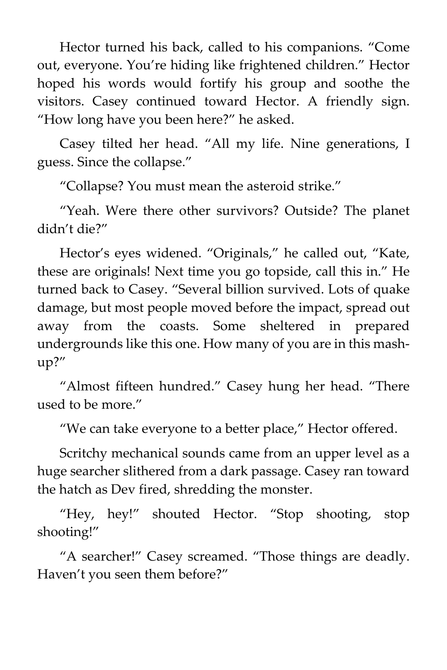Hector turned his back, called to his companions. "Come out, everyone. You're hiding like frightened children." Hector hoped his words would fortify his group and soothe the visitors. Casey continued toward Hector. A friendly sign. "How long have you been here?" he asked.

Casey tilted her head. "All my life. Nine generations, I guess. Since the collapse."

"Collapse? You must mean the asteroid strike."

"Yeah. Were there other survivors? Outside? The planet didn't die?"

Hector's eyes widened. "Originals," he called out, "Kate, these are originals! Next time you go topside, call this in." He turned back to Casey. "Several billion survived. Lots of quake damage, but most people moved before the impact, spread out away from the coasts. Some sheltered in prepared undergrounds like this one. How many of you are in this mashup?"

"Almost fifteen hundred." Casey hung her head. "There used to be more."

"We can take everyone to a better place," Hector offered.

Scritchy mechanical sounds came from an upper level as a huge searcher slithered from a dark passage. Casey ran toward the hatch as Dev fired, shredding the monster.

"Hey, hey!" shouted Hector. "Stop shooting, stop shooting!"

"A searcher!" Casey screamed. "Those things are deadly. Haven't you seen them before?"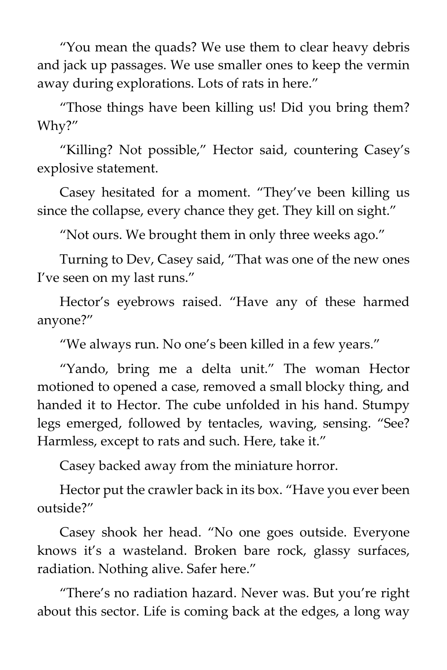"You mean the quads? We use them to clear heavy debris and jack up passages. We use smaller ones to keep the vermin away during explorations. Lots of rats in here."

"Those things have been killing us! Did you bring them? Why?"

"Killing? Not possible," Hector said, countering Casey's explosive statement.

Casey hesitated for a moment. "They've been killing us since the collapse, every chance they get. They kill on sight."

"Not ours. We brought them in only three weeks ago."

Turning to Dev, Casey said, "That was one of the new ones I've seen on my last runs."

Hector's eyebrows raised. "Have any of these harmed anyone?"

"We always run. No one's been killed in a few years."

"Yando, bring me a delta unit." The woman Hector motioned to opened a case, removed a small blocky thing, and handed it to Hector. The cube unfolded in his hand. Stumpy legs emerged, followed by tentacles, waving, sensing. "See? Harmless, except to rats and such. Here, take it."

Casey backed away from the miniature horror.

Hector put the crawler back in its box. "Have you ever been outside?"

Casey shook her head. "No one goes outside. Everyone knows it's a wasteland. Broken bare rock, glassy surfaces, radiation. Nothing alive. Safer here."

"There's no radiation hazard. Never was. But you're right about this sector. Life is coming back at the edges, a long way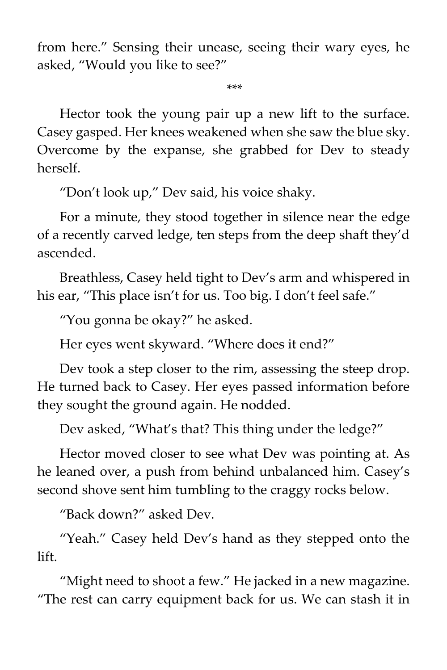from here." Sensing their unease, seeing their wary eyes, he asked, "Would you like to see?"

\*\*\*

Hector took the young pair up a new lift to the surface. Casey gasped. Her knees weakened when she saw the blue sky. Overcome by the expanse, she grabbed for Dev to steady herself.

"Don't look up," Dev said, his voice shaky.

For a minute, they stood together in silence near the edge of a recently carved ledge, ten steps from the deep shaft they'd ascended.

Breathless, Casey held tight to Dev's arm and whispered in his ear, "This place isn't for us. Too big. I don't feel safe."

"You gonna be okay?" he asked.

Her eyes went skyward. "Where does it end?"

Dev took a step closer to the rim, assessing the steep drop. He turned back to Casey. Her eyes passed information before they sought the ground again. He nodded.

Dev asked, "What's that? This thing under the ledge?"

Hector moved closer to see what Dev was pointing at. As he leaned over, a push from behind unbalanced him. Casey's second shove sent him tumbling to the craggy rocks below.

"Back down?" asked Dev.

"Yeah." Casey held Dev's hand as they stepped onto the lift.

"Might need to shoot a few." He jacked in a new magazine. "The rest can carry equipment back for us. We can stash it in